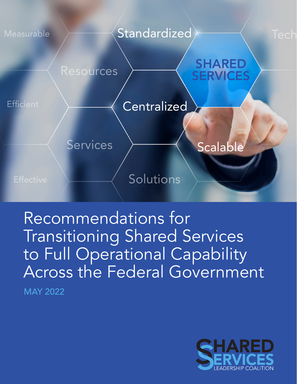

Recommendations for Transitioning Shared Services to Full Operational Capability Across the Federal Government MAY 2022

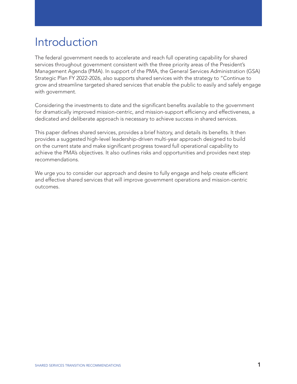# Introduction

The federal government needs to accelerate and reach full operating capability for shared services throughout government consistent with the three priority areas of the President's Management Agenda (PMA). In support of the PMA, the General Services Administration (GSA) Strategic Plan FY 2022-2026, also supports shared services with the strategy to "Continue to grow and streamline targeted shared services that enable the public to easily and safely engage with government.

Considering the investments to date and the significant benefits available to the government for dramatically improved mission-centric, and mission-support efficiency and effectiveness, a dedicated and deliberate approach is necessary to achieve success in shared services.

This paper defines shared services, provides a brief history, and details its benefits. It then provides a suggested high-level leadership-driven multi-year approach designed to build on the current state and make significant progress toward full operational capability to achieve the PMA's objectives. It also outlines risks and opportunities and provides next step recommendations.

We urge you to consider our approach and desire to fully engage and help create efficient and effective shared services that will improve government operations and mission-centric outcomes.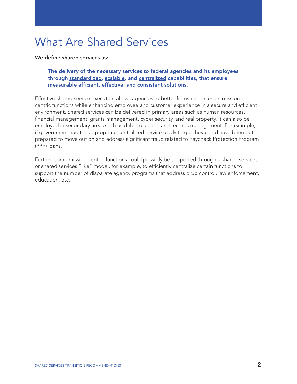# What Are Shared Services

We define shared services as:

### The delivery of the necessary services to federal agencies and its employees through standardized, scalable, and centralized capabilities, that ensure measurable efficient, effective, and consistent solutions.

Effective shared service execution allows agencies to better focus resources on missioncentric functions while enhancing employee and customer experience in a secure and efficient environment. Shared services can be delivered in primary areas such as human resources, financial management, grants management, cyber security, and real property. It can also be employed in secondary areas such as debt collection and records management. For example, if government had the appropriate centralized service ready to go, they could have been better prepared to move out on and address significant fraud related to Paycheck Protection Program (PPP) loans.

Further, some mission-centric functions could possibly be supported through a shared services or shared services "like" model, for example, to efficiently centralize certain functions to support the number of disparate agency programs that address drug control, law enforcement, education, etc.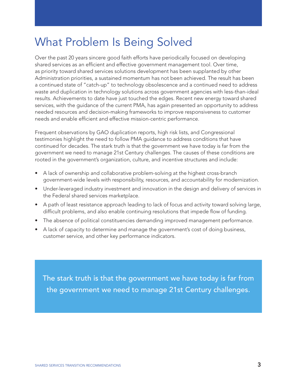# What Problem Is Being Solved

Over the past 20 years sincere good faith efforts have periodically focused on developing shared services as an efficient and effective government management tool. Over time, as priority toward shared services solutions development has been supplanted by other Administration priorities, a sustained momentum has not been achieved. The result has been a continued state of "catch-up" to technology obsolescence and a continued need to address waste and duplication in technology solutions across government agencies with less-than-ideal results. Achievements to date have just touched the edges. Recent new energy toward shared services, with the guidance of the current PMA, has again presented an opportunity to address needed resources and decision-making frameworks to improve responsiveness to customer needs and enable efficient and effective mission-centric performance.

Frequent observations by GAO duplication reports, high risk lists, and Congressional testimonies highlight the need to follow PMA guidance to address conditions that have continued for decades. The stark truth is that the government we have today is far from the government we need to manage 21st Century challenges. The causes of these conditions are rooted in the government's organization, culture, and incentive structures and include:

- A lack of ownership and collaborative problem-solving at the highest cross-branch government-wide levels with responsibility, resources, and accountability for modernization.
- Under-leveraged industry investment and innovation in the design and delivery of services in the Federal shared services marketplace.
- A path of least resistance approach leading to lack of focus and activity toward solving large, difficult problems, and also enable continuing resolutions that impede flow of funding.
- The absence of political constituencies demanding improved management performance.
- A lack of capacity to determine and manage the government's cost of doing business, customer service, and other key performance indicators.

The stark truth is that the government we have today is far from the government we need to manage 21st Century challenges.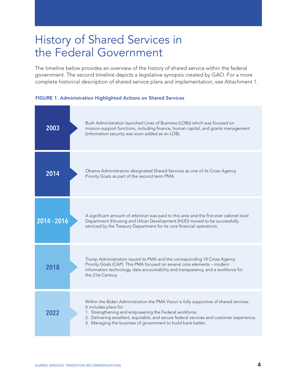# History of Shared Services in the Federal Government

The timeline below provides an overview of the history of shared service within the federal government. The second timeline depicts a legislative synopsis created by GAO. For a more complete historical description of shared service plans and implementation, see Attachment 1.



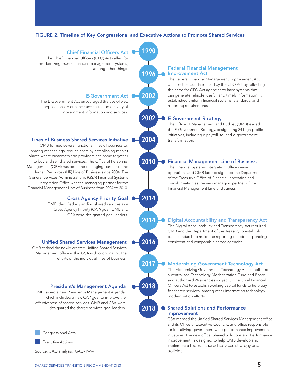### FIGURE 2. Timeline of Key Congressional and Executive Actions to Promote Shared Services

**1990**

**1996**

**2002**

**2002**

**2004**

**2010**

**2014**

**2014**

**2016**

**2017**

**2018**

**2018**

### Chief Financial Officers Act

The Chief Financial Officers (CFO) Act called for modernizing federal financial management systems, among other things.

### E-Government Act

The E-Government Act encouraged the use of web applications to enhance access to and delivery of government information and services.

### Lines of Business Shared Services Initiative  $\bullet$  2004  $\bullet$  transformation.

OMB formed several functional lines of business to, among other things, reduce costs by establishing market places where customers and providers can come together to buy and sell shared services. The Office of Personnel Management (OPM) has been the managing partner of the Human Resources (HR) Line of Business since 2004. The General Services Administration's (GSA) Financial Systems Integration Office was the managing partner for the Financial Management Line of Business from 2004 to 2010.

### Cross Agency Priority Goal

OMB identified expanding shared services as a Cross Agency Priority (CAP) goal. OMB and GSA were designated goal leaders.

### Unified Shared Services Management  $\bullet$  2016  $\bullet$  consistent and comparable across agencies.

OMB tasked the newly-created Unified Shared Services Management office within GSA with coordinating the efforts of the individual lines of business.

#### President's Management Agenda

OMB issued a new President's Management Agenda, which included a new CAP goal to improve the effectiveness of shared services. OMB and GSA were designated the shared services goal leaders.



**Executive Actions** 

Source: GAO analysis. GAO-19-94

### Federal Financial Management Improvement Act

The Federal Financial Management Improvement Act built on the foundation laid by the CFO Act by reflecting the need for CFO Act agencies to have systems that can generate reliable, useful, and timely information. It established uniform financial systems, standards, and reporting requirements.

### E-Government Strategy

The Office of Management and Budget (OMB) issued the E-Government Strategy, designating 24 high-profile initiatives, including e-payroll, to lead e-government

### Financial Management Line of Business

The Financial Systems Integration Office ceased operations and OMB later designated the Department of the Treasury's Office of Financial Innovation and Transformation as the new managing partner of the Financial Management Line of Business.

### Digital Accountability and Transparency Act

The Digital Accountability and Transparency Act required OMB and the Department of the Treasury to establish data standards to make the reporting of federal spending

### Modernizing Government Technology Act

The Modernizing Government Technology Act established a centralized Technology Modernization Fund and Board, and authorized 24 agencies subject to the Chief Financial Officers Act to establish working capital funds to help pay for shared services, among other information technology modernization efforts.

### Shared Solutions and Performance Improvement

GSA merged the Unified Shared Services Management office and its Office of Executive Councils, and office responsible for identifying government-wide performance improvement initiatives. The new office, Shared Solutions and Performance Improvement, is designed to help OMB develop and implement a federal shared services strategy and policies.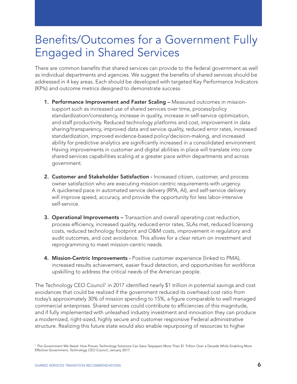# Benefits/Outcomes for a Government Fully Engaged in Shared Services

There are common benefits that shared services can provide to the federal government as well as individual departments and agencies. We suggest the benefits of shared services should be addressed in 4 key areas. Each should be developed with targeted Key Performance Indicators (KPIs) and outcome metrics designed to demonstrate success.

- **1. Performance Improvement and Faster Scaling –** Measured outcomes in missionsupport such as increased use of shared services over time, process/policy standardization/consistency, increase in quality, increase in self-service optimization, and staff productivity. Reduced technology platforms and cost, improvement in data sharing/transparency, improved data and service quality, reduced error rates, increased standardization, improved evidence-based policy/decision-making, and increased ability for predictive analytics are significantly increased in a consolidated environment. Having improvements in customer and digital abilities in place will translate into core shared services capabilities scaling at a greater pace within departments and across government.
- 2. Customer and Stakeholder Satisfaction Increased citizen, customer, and process owner satisfaction who are executing mission-centric requirements with urgency. A quickened pace in automated service delivery (RPA, AI), and self-service delivery will improve speed, accuracy, and provide the opportunity for less labor-intensive self-service.
- **3. Operational Improvements –** Transaction and overall operating cost reduction, process efficiency, increased quality, reduced error rates, SLAs met, reduced licensing costs, reduced technology footprint and O&M costs, improvement in regulatory and audit outcomes, and cost avoidance. This allows for a clear return on investment and reprogramming to meet mission-centric needs.
- 4. Mission-Centric Improvements Positive customer experience (linked to PMA), increased results achievement, easier fraud detection, and opportunities for workforce upskilling to address the critical needs of the American people.

The Technology CEO Council<sup>1</sup> in 2017 identified nearly \$1 trillion in potential savings and cost avoidances that could be realized if the government reduced its overhead cost ratio from today's approximately 30% of mission spending to 15%, a figure comparable to well managed commercial enterprises. Shared services could contribute to efficiencies of this magnitude, and if fully implemented with unleashed industry investment and innovation they can produce a modernized, right-sized, highly secure and customer responsive Federal administrative structure. Realizing this future state would also enable repurposing of resources to higher

<sup>1</sup> The Government We Need: How Proven Technology Solutions Can Save Taxpayers More Than \$1 Trillion Over a Decade While Enabling More Effective Government, Technology CEO Council, January 2017.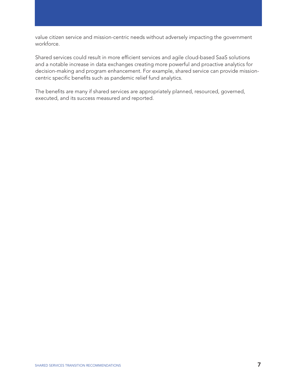value citizen service and mission-centric needs without adversely impacting the government workforce.

Shared services could result in more efficient services and agile cloud-based SaaS solutions and a notable increase in data exchanges creating more powerful and proactive analytics for decision-making and program enhancement. For example, shared service can provide missioncentric specific benefits such as pandemic relief fund analytics.

The benefits are many if shared services are appropriately planned, resourced, governed, executed, and its success measured and reported.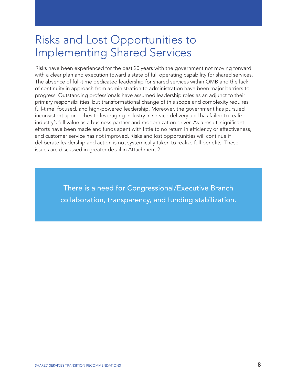# Risks and Lost Opportunities to Implementing Shared Services

Risks have been experienced for the past 20 years with the government not moving forward with a clear plan and execution toward a state of full operating capability for shared services. The absence of full-time dedicated leadership for shared services within OMB and the lack of continuity in approach from administration to administration have been major barriers to progress. Outstanding professionals have assumed leadership roles as an adjunct to their primary responsibilities, but transformational change of this scope and complexity requires full-time, focused, and high-powered leadership. Moreover, the government has pursued inconsistent approaches to leveraging industry in service delivery and has failed to realize industry's full value as a business partner and modernization driver. As a result, significant efforts have been made and funds spent with little to no return in efficiency or effectiveness, and customer service has not improved. Risks and lost opportunities will continue if deliberate leadership and action is not systemically taken to realize full benefits. These issues are discussed in greater detail in Attachment 2.

> There is a need for Congressional/Executive Branch collaboration, transparency, and funding stabilization.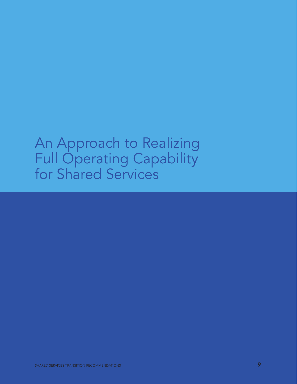# An Approach to Realizing Full Operating Capability for Shared Services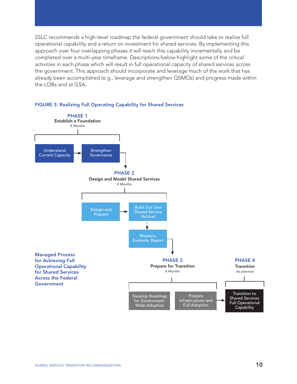SSLC recommends a high-level roadmap the federal government should take to realize full operational capability and a return on investment for shared services. By implementing this approach over four overlapping phases it will reach this capability incrementally and be completed over a multi-year timeframe. Descriptions below highlight some of the critical activities in each phase which will result in full operational capacity of shared services across the government. This approach should incorporate and leverage much of the work that has already been accomplished (e.g., leverage and strengthen QSMOs) and progress made within the LOBs and at GSA.



### FIGURE 3. Realizing Full Operating Capability for Shared Services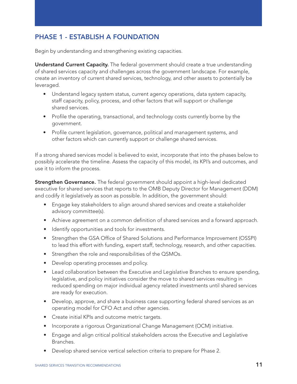## PHASE 1 - ESTABLISH A FOUNDATION

Begin by understanding and strengthening existing capacities.

Understand Current Capacity. The federal government should create a true understanding of shared services capacity and challenges across the government landscape. For example, create an inventory of current shared services, technology, and other assets to potentially be leveraged.

- Understand legacy system status, current agency operations, data system capacity, staff capacity, policy, process, and other factors that will support or challenge shared services.
- Profile the operating, transactional, and technology costs currently borne by the government.
- Profile current legislation, governance, political and management systems, and other factors which can currently support or challenge shared services.

If a strong shared services model is believed to exist, incorporate that into the phases below to possibly accelerate the timeline. Assess the capacity of this model, its KPI's and outcomes, and use it to inform the process.

**Strengthen Governance.** The federal government should appoint a high-level dedicated executive for shared services that reports to the OMB Deputy Director for Management (DDM) and codify it legislatively as soon as possible. In addition, the government should:

- Engage key stakeholders to align around shared services and create a stakeholder advisory committee(s).
- Achieve agreement on a common definition of shared services and a forward approach.
- Identify opportunities and tools for investments.
- Strengthen the GSA Office of Shared Solutions and Performance Improvement (OSSPI) to lead this effort with funding, expert staff, technology, research, and other capacities.
- Strengthen the role and responsibilities of the QSMOs.
- Develop operating processes and policy.
- Lead collaboration between the Executive and Legislative Branches to ensure spending, legislative, and policy initiatives consider the move to shared services resulting in reduced spending on major individual agency related investments until shared services are ready for execution.
- Develop, approve, and share a business case supporting federal shared services as an operating model for CFO Act and other agencies.
- Create initial KPIs and outcome metric targets.
- Incorporate a rigorous Organizational Change Management (OCM) initiative.
- Engage and align critical political stakeholders across the Executive and Legislative Branches.
- Develop shared service vertical selection criteria to prepare for Phase 2.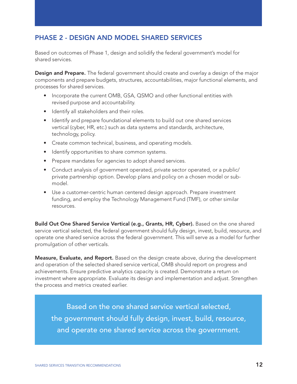## PHASE 2 - DESIGN AND MODEL SHARED SERVICES

Based on outcomes of Phase 1, design and solidify the federal government's model for shared services.

**Design and Prepare.** The federal government should create and overlay a design of the major components and prepare budgets, structures, accountabilities, major functional elements, and processes for shared services.

- Incorporate the current OMB, GSA, QSMO and other functional entities with revised purpose and accountability.
- Identify all stakeholders and their roles.
- Identify and prepare foundational elements to build out one shared services vertical (cyber, HR, etc.) such as data systems and standards, architecture, technology, policy.
- Create common technical, business, and operating models.
- Identify opportunities to share common systems.
- Prepare mandates for agencies to adopt shared services.
- Conduct analysis of government operated, private sector operated, or a public/ private partnership option. Develop plans and policy on a chosen model or submodel.
- Use a customer-centric human centered design approach. Prepare investment funding, and employ the Technology Management Fund (TMF), or other similar resources.

Build Out One Shared Service Vertical (e.g., Grants, HR, Cyber). Based on the one shared service vertical selected, the federal government should fully design, invest, build, resource, and operate one shared service across the federal government. This will serve as a model for further promulgation of other verticals.

**Measure, Evaluate, and Report.** Based on the design create above, during the development and operation of the selected shared service vertical, OMB should report on progress and achievements. Ensure predictive analytics capacity is created. Demonstrate a return on investment where appropriate. Evaluate its design and implementation and adjust. Strengthen the process and metrics created earlier.

Based on the one shared service vertical selected, the government should fully design, invest, build, resource, and operate one shared service across the government.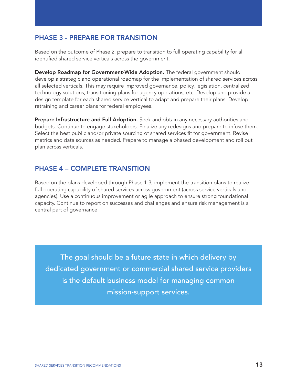## PHASE 3 - PREPARE FOR TRANSITION

Based on the outcome of Phase 2, prepare to transition to full operating capability for all identified shared service verticals across the government.

Develop Roadmap for Government-Wide Adoption. The federal government should develop a strategic and operational roadmap for the implementation of shared services across all selected verticals. This may require improved governance, policy, legislation, centralized technology solutions, transitioning plans for agency operations, etc. Develop and provide a design template for each shared service vertical to adapt and prepare their plans. Develop retraining and career plans for federal employees.

Prepare Infrastructure and Full Adoption. Seek and obtain any necessary authorities and budgets. Continue to engage stakeholders. Finalize any redesigns and prepare to infuse them. Select the best public and/or private sourcing of shared services fit for government. Revise metrics and data sources as needed. Prepare to manage a phased development and roll out plan across verticals.

### PHASE 4 – COMPLETE TRANSITION

Based on the plans developed through Phase 1-3, implement the transition plans to realize full operating capability of shared services across government (across service verticals and agencies). Use a continuous improvement or agile approach to ensure strong foundational capacity. Continue to report on successes and challenges and ensure risk management is a central part of governance.

The goal should be a future state in which delivery by dedicated government or commercial shared service providers is the default business model for managing common mission-support services.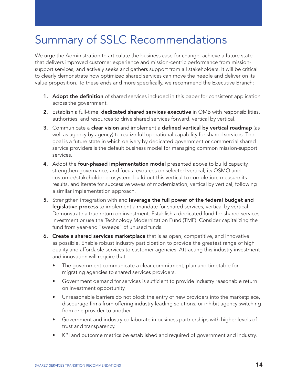# Summary of SSLC Recommendations

We urge the Administration to articulate the business case for change, achieve a future state that delivers improved customer experience and mission-centric performance from missionsupport services, and actively seeks and gathers support from all stakeholders. It will be critical to clearly demonstrate how optimized shared services can move the needle and deliver on its value proposition. To these ends and more specifically, we recommend the Executive Branch:

- 1. Adopt the definition of shared services included in this paper for consistent application across the government.
- 2. Establish a full-time, dedicated shared services executive in OMB with responsibilities, authorities, and resources to drive shared services forward, vertical by vertical.
- 3. Communicate a clear vision and implement a defined vertical by vertical roadmap (as well as agency by agency) to realize full operational capability for shared services. The goal is a future state in which delivery by dedicated government or commercial shared service providers is the default business model for managing common mission-support services.
- 4. Adopt the **four-phased implementation model** presented above to build capacity, strengthen governance, and focus resources on selected vertical, its QSMO and customer/stakeholder ecosystem; build out this vertical to completion, measure its results, and iterate for successive waves of modernization, vertical by vertical, following a similar implementation approach.
- 5. Strengthen integration with and leverage the full power of the federal budget and **legislative process** to implement a mandate for shared services, vertical by vertical. Demonstrate a true return on investment. Establish a dedicated fund for shared services investment or use the Technology Modernization Fund (TMF). Consider capitalizing the fund from year-end "sweeps" of unused funds.
- 6. Create a shared services marketplace that is as open, competitive, and innovative as possible. Enable robust industry participation to provide the greatest range of high quality and affordable services to customer agencies. Attracting this industry investment and innovation will require that:
	- The government communicate a clear commitment, plan and timetable for migrating agencies to shared services providers.
	- Government demand for services is sufficient to provide industry reasonable return on investment opportunity.
	- Unreasonable barriers do not block the entry of new providers into the marketplace, discourage firms from offering industry leading solutions, or inhibit agency switching from one provider to another.
	- Government and industry collaborate in business partnerships with higher levels of trust and transparency.
	- KPI and outcome metrics be established and required of government and industry.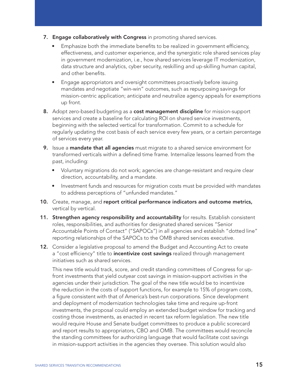- 7. Engage collaboratively with Congress in promoting shared services.
	- Emphasize both the immediate benefits to be realized in government efficiency, effectiveness, and customer experience, and the synergistic role shared services play in government modernization, i.e., how shared services leverage IT modernization, data structure and analytics, cyber security, reskilling and up-skilling human capital, and other benefits.
	- Engage appropriators and oversight committees proactively before issuing mandates and negotiate "win-win" outcomes, such as repurposing savings for mission-centric application; anticipate and neutralize agency appeals for exemptions up front.
- 8. Adopt zero-based budgeting as a cost management discipline for mission-support services and create a baseline for calculating ROI on shared service investments, beginning with the selected vertical for transformation. Commit to a schedule for regularly updating the cost basis of each service every few years, or a certain percentage of services every year.
- 9. Issue a mandate that all agencies must migrate to a shared service environment for transformed verticals within a defined time frame. Internalize lessons learned from the past, including:
	- Voluntary migrations do not work; agencies are change-resistant and require clear direction, accountability, and a mandate.
	- Investment funds and resources for migration costs must be provided with mandates to address perceptions of "unfunded mandates."
- 10. Create, manage, and report critical performance indicators and outcome metrics, vertical by vertical.
- 11. Strengthen agency responsibility and accountability for results. Establish consistent roles, responsibilities, and authorities for designated shared services "Senior Accountable Points of Contact" ("SAPOCs") in all agencies and establish "dotted line" reporting relationships of the SAPOCs to the OMB shared services executive.
- 12. Consider a legislative proposal to amend the Budget and Accounting Act to create a "cost efficiency" title to *incentivize cost savings* realized through management initiatives such as shared services.

 This new title would track, score, and credit standing committees of Congress for upfront investments that yield outyear cost savings in mission-support activities in the agencies under their jurisdiction. The goal of the new title would be to incentivize the reduction in the costs of support functions, for example to 15% of program costs, a figure consistent with that of America's best-run corporations. Since development and deployment of modernization technologies take time and require up-front investments, the proposal could employ an extended budget window for tracking and costing those investments, as enacted in recent tax reform legislation. The new title would require House and Senate budget committees to produce a public scorecard and report results to appropriators, CBO and OMB. The committees would reconcile the standing committees for authorizing language that would facilitate cost savings in mission-support activities in the agencies they oversee. This solution would also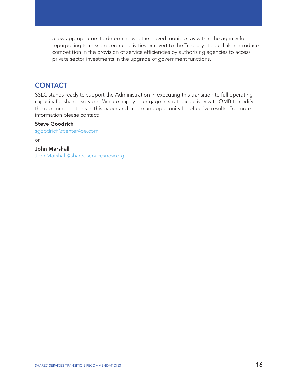allow appropriators to determine whether saved monies stay within the agency for repurposing to mission-centric activities or revert to the Treasury. It could also introduce competition in the provision of service efficiencies by authorizing agencies to access private sector investments in the upgrade of government functions.

### **CONTACT**

SSLC stands ready to support the Administration in executing this transition to full operating capacity for shared services. We are happy to engage in strategic activity with OMB to codify the recommendations in this paper and create an opportunity for effective results. For more information please contact:

### Steve Goodrich

sgoodrich@center4oe.com

or

## John Marshall

JohnMarshall@sharedservicesnow.org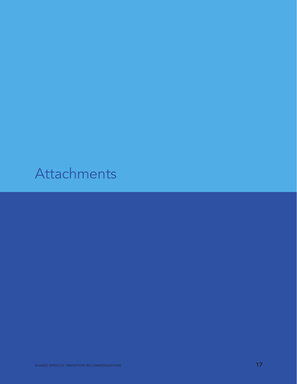# Attachments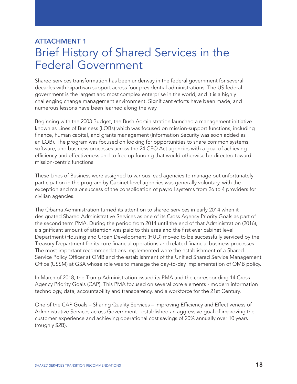## ATTACHMENT 1 Brief History of Shared Services in the Federal Government

Shared services transformation has been underway in the federal government for several decades with bipartisan support across four presidential administrations. The US federal government is the largest and most complex enterprise in the world, and it is a highly challenging change management environment. Significant efforts have been made, and numerous lessons have been learned along the way.

Beginning with the 2003 Budget, the Bush Administration launched a management initiative known as Lines of Business (LOBs) which was focused on mission-support functions, including finance, human capital, and grants management (Information Security was soon added as an LOB). The program was focused on looking for opportunities to share common systems, software, and business processes across the 24 CFO Act agencies with a goal of achieving efficiency and effectiveness and to free up funding that would otherwise be directed toward mission-centric functions.

These Lines of Business were assigned to various lead agencies to manage but unfortunately participation in the program by Cabinet level agencies was generally voluntary, with the exception and major success of the consolidation of payroll systems from 26 to 4 providers for civilian agencies.

The Obama Administration turned its attention to shared services in early 2014 when it designated Shared Administrative Services as one of its Cross Agency Priority Goals as part of the second term PMA. During the period from 2014 until the end of that Administration (2016), a significant amount of attention was paid to this area and the first ever cabinet level Department (Housing and Urban Development (HUD) moved to be successfully serviced by the Treasury Department for its core financial operations and related financial business processes. The most important recommendations implemented were the establishment of a Shared Service Policy Officer at OMB and the establishment of the Unified Shared Service Management Office (USSM) at GSA whose role was to manage the day-to-day implementation of OMB policy.

In March of 2018, the Trump Administration issued its PMA and the corresponding 14 Cross Agency Priority Goals (CAP). This PMA focused on several core elements - modern information technology, data, accountability and transparency, and a workforce for the 21st Century.

One of the CAP Goals – Sharing Quality Services – Improving Efficiency and Effectiveness of Administrative Services across Government - established an aggressive goal of improving the customer experience and achieving operational cost savings of 20% annually over 10 years (roughly \$2B).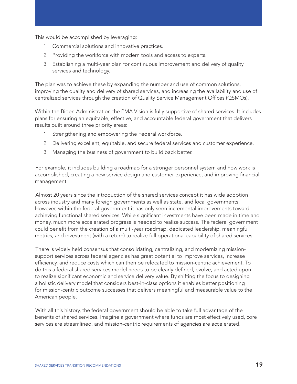This would be accomplished by leveraging:

- 1. Commercial solutions and innovative practices.
- 2. Providing the workforce with modern tools and access to experts.
- 3. Establishing a multi-year plan for continuous improvement and delivery of quality services and technology.

The plan was to achieve these by expanding the number and use of common solutions, improving the quality and delivery of shared services, and increasing the availability and use of centralized services through the creation of Quality Service Management Offices (QSMOs).

Within the Biden Administration the PMA Vision is fully supportive of shared services. It includes plans for ensuring an equitable, effective, and accountable federal government that delivers results built around three priority areas:

- 1. Strengthening and empowering the Federal workforce.
- 2. Delivering excellent, equitable, and secure federal services and customer experience.
- 3. Managing the business of government to build back better.

For example, it includes building a roadmap for a stronger personnel system and how work is accomplished, creating a new service design and customer experience, and improving financial management.

Almost 20 years since the introduction of the shared services concept it has wide adoption across industry and many foreign governments as well as state, and local governments. However, within the federal government it has only seen incremental improvements toward achieving functional shared services. While significant investments have been made in time and money, much more accelerated progress is needed to realize success. The federal government could benefit from the creation of a multi-year roadmap, dedicated leadership, meaningful metrics, and investment (with a return) to realize full operational capability of shared services.

There is widely held consensus that consolidating, centralizing, and modernizing missionsupport services across federal agencies has great potential to improve services, increase efficiency, and reduce costs which can then be relocated to mission-centric achievement. To do this a federal shared services model needs to be clearly defined, evolve, and acted upon to realize significant economic and service delivery value. By shifting the focus to designing a holistic delivery model that considers best-in-class options it enables better positioning for mission-centric outcome successes that delivers meaningful and measurable value to the American people.

With all this history, the federal government should be able to take full advantage of the benefits of shared services. Imagine a government where funds are most effectively used, core services are streamlined, and mission-centric requirements of agencies are accelerated.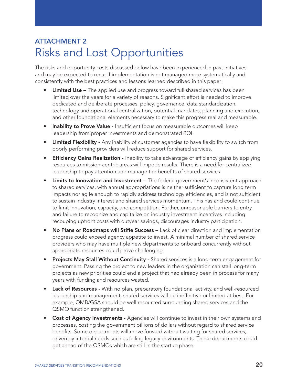## ATTACHMENT 2 Risks and Lost Opportunities

The risks and opportunity costs discussed below have been experienced in past initiatives and may be expected to recur if implementation is not managed more systematically and consistently with the best practices and lessons learned described in this paper:

- **Limited Use –** The applied use and progress toward full shared services has been limited over the years for a variety of reasons. Significant effort is needed to improve dedicated and deliberate processes, policy, governance, data standardization, technology and operational centralization, potential mandates, planning and execution, and other foundational elements necessary to make this progress real and measurable.
- Inability to Prove Value Insufficient focus on measurable outcomes will keep leadership from proper investments and demonstrated ROI.
- Limited Flexibility Any inability of customer agencies to have flexibility to switch from poorly performing providers will reduce support for shared services.
- Efficiency Gains Realization Inability to take advantage of efficiency gains by applying resources to mission-centric areas will impede results. There is a need for centralized leadership to pay attention and manage the benefits of shared services.
- Limits to Innovation and Investment The federal government's inconsistent approach to shared services, with annual appropriations is neither sufficient to capture long term impacts nor agile enough to rapidly address technology efficiencies, and is not sufficient to sustain industry interest and shared services momentum. This has and could continue to limit innovation, capacity, and competition. Further, unreasonable barriers to entry, and failure to recognize and capitalize on industry investment incentives including recouping upfront costs with outyear savings, discourages industry participation.
- No Plans or Roadmaps will Stifle Success Lack of clear direction and implementation progress could exceed agency appetite to invest. A minimal number of shared service providers who may have multiple new departments to onboard concurrently without appropriate resources could prove challenging.
- Projects May Stall Without Continuity Shared services is a long-term engagement for government. Passing the project to new leaders in the organization can stall long-term projects as new priorities could end a project that had already been in process for many years with funding and resources wasted.
- Lack of Resources With no plan, preparatory foundational activity, and well-resourced leadership and management, shared services will be ineffective or limited at best. For example, OMB/GSA should be well resourced surrounding shared services and the QSMO function strengthened.
- Cost of Agency Investments Agencies will continue to invest in their own systems and processes, costing the government billions of dollars without regard to shared service benefits. Some departments will move forward without waiting for shared services, driven by internal needs such as failing legacy environments. These departments could get ahead of the QSMOs which are still in the startup phase.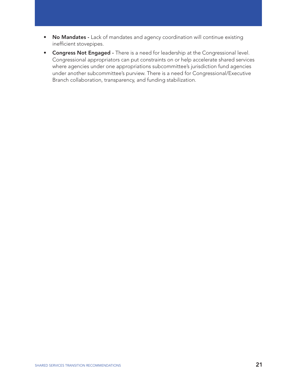- No Mandates Lack of mandates and agency coordination will continue existing inefficient stovepipes.
- **Congress Not Engaged -** There is a need for leadership at the Congressional level. Congressional appropriators can put constraints on or help accelerate shared services where agencies under one appropriations subcommittee's jurisdiction fund agencies under another subcommittee's purview. There is a need for Congressional/Executive Branch collaboration, transparency, and funding stabilization.